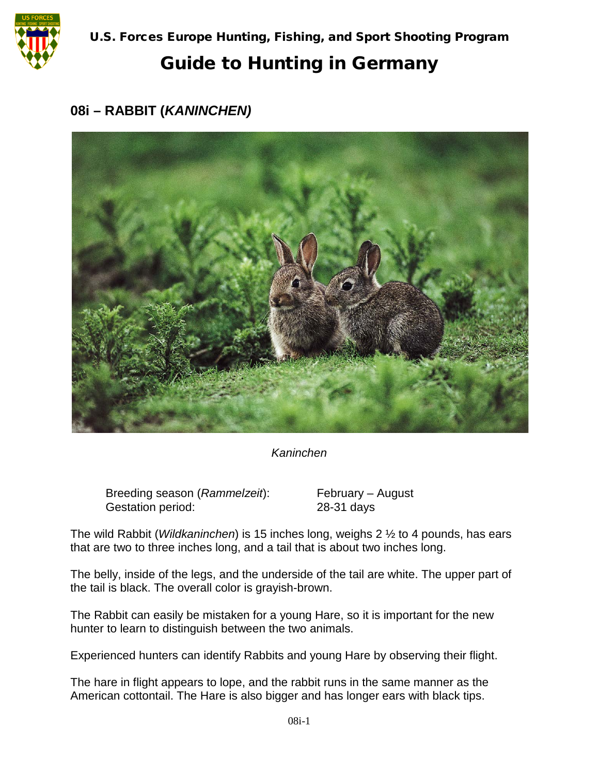

## Guide to Hunting in Germany

## **08i – RABBIT (***KANINCHEN)*



*Kaninchen*

Breeding season (*Rammelzeit*): February – August Gestation period: 28-31 days

The wild Rabbit (*Wildkaninchen*) is 15 inches long, weighs 2 ½ to 4 pounds, has ears that are two to three inches long, and a tail that is about two inches long.

The belly, inside of the legs, and the underside of the tail are white. The upper part of the tail is black. The overall color is grayish-brown.

The Rabbit can easily be mistaken for a young Hare, so it is important for the new hunter to learn to distinguish between the two animals.

Experienced hunters can identify Rabbits and young Hare by observing their flight.

The hare in flight appears to lope, and the rabbit runs in the same manner as the American cottontail. The Hare is also bigger and has longer ears with black tips.